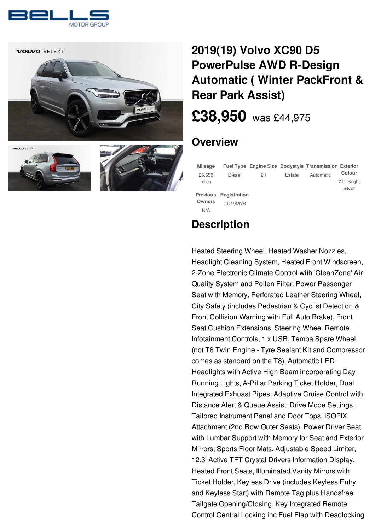



# **2019(19) Volvo XC90 D5 [PowerPulse](/used-cars/pdf/) AWD R-Design Automatic ( Winter PackFront & Rear Park Assist)**

# **[£38,950](/used-cars/pdf/)** was [£44,975](/used-cars/pdf/)

## **Overview**

| <b>Mileage</b>                          |                         |    |        | <b>Fuel Type Engine Size Bodystyle Transmission Exterior</b> |                                |
|-----------------------------------------|-------------------------|----|--------|--------------------------------------------------------------|--------------------------------|
| 25.658<br>miles                         | Diesel                  | 21 | Estate | Automatic                                                    | Colour<br>711 Bright<br>Silver |
| <b>Previous</b><br><b>Owners</b><br>N/A | Registration<br>CU19MYB |    |        |                                                              |                                |

## **Description**

Heated Steering Wheel, Heated Washer Nozzles, Headlight Cleaning System, Heated Front Windscreen, 2-Zone Electronic Climate Control with 'CleanZone' Air Quality System and Pollen Filter, Power Passenger Seat with Memory, Perforated Leather Steering Wheel, City Safety (includes Pedestrian & Cyclist Detection & Front Collision Warning with Full Auto Brake), Front Seat Cushion Extensions, Steering Wheel Remote Infotainment Controls, 1 x USB, Tempa Spare Wheel (not T8 Twin Engine - Tyre Sealant Kit and Compressor comes as standard on the T8), Automatic LED Headlights with Active High Beam incorporating Day Running Lights, A-Pillar Parking Ticket Holder, Dual Integrated Exhuast Pipes, Adaptive Cruise Control with Distance Alert & Queue Assist, Drive Mode Settings, Tailored Instrument Panel and Door Tops, ISOFIX Attachment (2nd Row Outer Seats), Power Driver Seat with Lumbar Support with Memory for Seat and Exterior Mirrors, Sports Floor Mats, Adjustable Speed Limiter, 12.3' Active TFT Crystal Drivers Information Display, Heated Front Seats, Illuminated Vanity Mirrors with Ticket Holder, Keyless Drive (includes Keyless Entry and Keyless Start) with Remote Tag plus Handsfree Tailgate Opening/Closing, Key Integrated Remote Control Central Locking inc Fuel Flap with Deadlocking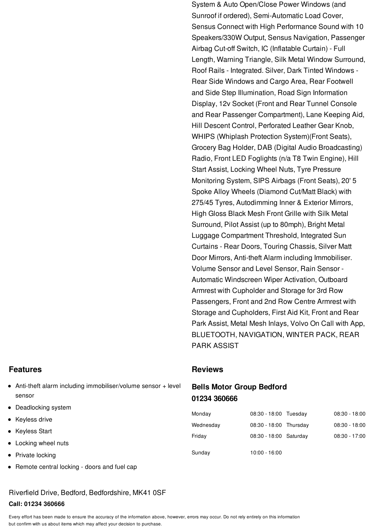System & Auto Open/Close Power Windows (and Sunroof if ordered), Semi-Automatic Load Cover, Sensus Connect with High Performance Sound with 10 Speakers/330W Output, Sensus Navigation, Passenger Airbag Cut-off Switch, IC (Inflatable Curtain) - Full Length, Warning Triangle, Silk Metal Window Surround, Roof Rails - Integrated. Silver, Dark Tinted Windows - Rear Side Windows and Cargo Area, Rear Footwell and Side Step Illumination, Road Sign Information Display, 12v Socket (Front and Rear Tunnel Console and Rear Passenger Compartment), Lane Keeping Aid, Hill Descent Control, Perforated Leather Gear Knob, WHIPS (Whiplash Protection System)(Front Seats), Grocery Bag Holder, DAB (Digital Audio Broadcasting) Radio, Front LED Foglights (n/a T8 Twin Engine), Hill Start Assist, Locking Wheel Nuts, Tyre Pressure Monitoring System, SIPS Airbags (Front Seats), 20' 5 Spoke Alloy Wheels (Diamond Cut/Matt Black) with 275/45 Tyres, Autodimming Inner & Exterior Mirrors, High Gloss Black Mesh Front Grille with Silk Metal Surround, Pilot Assist (up to 80mph), Bright Metal Luggage Compartment Threshold, Integrated Sun Curtains - Rear Doors, Touring Chassis, Silver Matt Door Mirrors, Anti-theft Alarm including Immobiliser. Volume Sensor and Level Sensor, Rain Sensor - Automatic Windscreen Wiper Activation, Outboard Armrest with Cupholder and Storage for 3rd Row Passengers, Front and 2nd Row Centre Armrest with Storage and Cupholders, First Aid Kit, Front and Rear Park Assist, Metal Mesh Inlays, Volvo On Call with App, BLUETOOTH, NAVIGATION, WINTER PACK, REAR PARK ASSIST

- Anti-theft alarm including immobiliser/volume sensor + level sensor
- Deadlocking system
- Keyless drive
- Keyless Start
- Locking wheel nuts
- Private locking
- Remote central locking doors and fuel cap

## Riverfield Drive, Bedford, Bedfordshire, MK41 0SF

### **Call: 01234 360666**

Every effort has been made to ensure the accuracy of the information above, however, errors may occur. Do not rely entirely on this information but confirm with us about items which may affect your decision to purchase.

### **Features Reviews Reviews**

## **Bells Motor Group Bedford 01234 [360666](tel:01234360666)**

| Monday    | 08:30 - 18:00 Tuesday  | $08:30 - 18:00$ |
|-----------|------------------------|-----------------|
| Wednesday | 08:30 - 18:00 Thursday | $08:30 - 18:00$ |
| Friday    | 08:30 - 18:00 Saturday | $08:30 - 17:00$ |
| Sunday    | $10:00 - 16:00$        |                 |